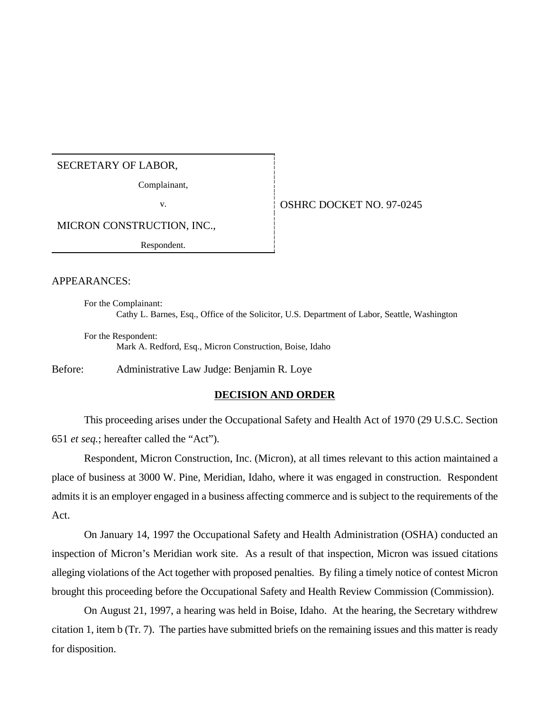#### SECRETARY OF LABOR,

Complainant,

### v. 6. OSHRC DOCKET NO. 97-0245

MICRON CONSTRUCTION, INC.,

Respondent.

## APPEARANCES:

For the Complainant: Cathy L. Barnes, Esq., Office of the Solicitor, U.S. Department of Labor, Seattle, Washington

For the Respondent: Mark A. Redford, Esq., Micron Construction, Boise, Idaho

Before: Administrative Law Judge: Benjamin R. Loye

#### **DECISION AND ORDER**

This proceeding arises under the Occupational Safety and Health Act of 1970 (29 U.S.C. Section 651 *et seq.*; hereafter called the "Act").

Respondent, Micron Construction, Inc. (Micron), at all times relevant to this action maintained a place of business at 3000 W. Pine, Meridian, Idaho, where it was engaged in construction. Respondent admits it is an employer engaged in a business affecting commerce and is subject to the requirements of the Act.

On January 14, 1997 the Occupational Safety and Health Administration (OSHA) conducted an inspection of Micron's Meridian work site. As a result of that inspection, Micron was issued citations alleging violations of the Act together with proposed penalties. By filing a timely notice of contest Micron brought this proceeding before the Occupational Safety and Health Review Commission (Commission).

On August 21, 1997, a hearing was held in Boise, Idaho. At the hearing, the Secretary withdrew citation 1, item b (Tr. 7). The parties have submitted briefs on the remaining issues and this matter is ready for disposition.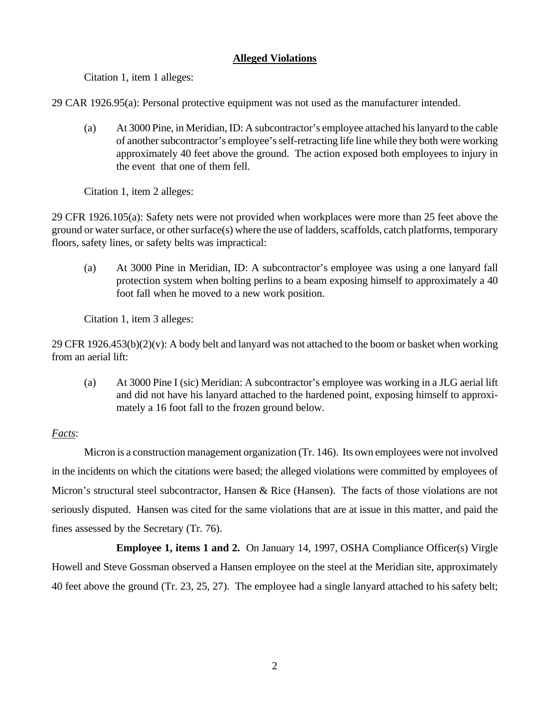## **Alleged Violations**

Citation 1, item 1 alleges:

29 CAR 1926.95(a): Personal protective equipment was not used as the manufacturer intended.

(a) At 3000 Pine, in Meridian, ID: A subcontractor's employee attached his lanyard to the cable of another subcontractor's employee's self-retracting life line while they both were working approximately 40 feet above the ground. The action exposed both employees to injury in the event that one of them fell.

Citation 1, item 2 alleges:

29 CFR 1926.105(a): Safety nets were not provided when workplaces were more than 25 feet above the ground or water surface, or other surface(s) where the use of ladders, scaffolds, catch platforms, temporary floors, safety lines, or safety belts was impractical:

(a) At 3000 Pine in Meridian, ID: A subcontractor's employee was using a one lanyard fall protection system when bolting perlins to a beam exposing himself to approximately a 40 foot fall when he moved to a new work position.

Citation 1, item 3 alleges:

29 CFR  $1926.453(b)(2)(v)$ : A body belt and lanyard was not attached to the boom or basket when working from an aerial lift:

(a) At 3000 Pine I (sic) Meridian: A subcontractor's employee was working in a JLG aerial lift and did not have his lanyard attached to the hardened point, exposing himself to approximately a 16 foot fall to the frozen ground below.

# *Facts*:

Micron is a construction management organization (Tr. 146). Its own employees were not involved in the incidents on which the citations were based; the alleged violations were committed by employees of Micron's structural steel subcontractor, Hansen & Rice (Hansen). The facts of those violations are not seriously disputed. Hansen was cited for the same violations that are at issue in this matter, and paid the fines assessed by the Secretary (Tr. 76).

**Employee 1, items 1 and 2.** On January 14, 1997, OSHA Compliance Officer(s) Virgle Howell and Steve Gossman observed a Hansen employee on the steel at the Meridian site, approximately 40 feet above the ground (Tr. 23, 25, 27). The employee had a single lanyard attached to his safety belt;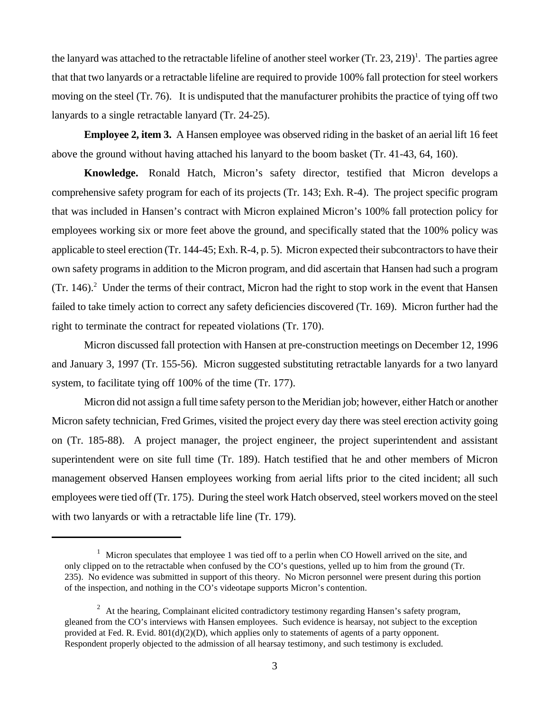the lanyard was attached to the retractable lifeline of another steel worker  $(Tr. 23, 219)^1$ . The parties agree that that two lanyards or a retractable lifeline are required to provide 100% fall protection for steel workers moving on the steel (Tr. 76). It is undisputed that the manufacturer prohibits the practice of tying off two lanyards to a single retractable lanyard (Tr. 24-25).

**Employee 2, item 3.** A Hansen employee was observed riding in the basket of an aerial lift 16 feet above the ground without having attached his lanyard to the boom basket (Tr. 41-43, 64, 160).

**Knowledge.** Ronald Hatch, Micron's safety director, testified that Micron develops a comprehensive safety program for each of its projects (Tr. 143; Exh. R-4). The project specific program that was included in Hansen's contract with Micron explained Micron's 100% fall protection policy for employees working six or more feet above the ground, and specifically stated that the 100% policy was applicable to steel erection (Tr. 144-45; Exh. R-4, p. 5). Micron expected their subcontractors to have their own safety programs in addition to the Micron program, and did ascertain that Hansen had such a program  $(Tr. 146).$ <sup>2</sup> Under the terms of their contract, Micron had the right to stop work in the event that Hansen failed to take timely action to correct any safety deficiencies discovered (Tr. 169). Micron further had the right to terminate the contract for repeated violations (Tr. 170).

Micron discussed fall protection with Hansen at pre-construction meetings on December 12, 1996 and January 3, 1997 (Tr. 155-56). Micron suggested substituting retractable lanyards for a two lanyard system, to facilitate tying off 100% of the time (Tr. 177).

Micron did not assign a full time safety person to the Meridian job; however, either Hatch or another Micron safety technician, Fred Grimes, visited the project every day there was steel erection activity going on (Tr. 185-88). A project manager, the project engineer, the project superintendent and assistant superintendent were on site full time (Tr. 189). Hatch testified that he and other members of Micron management observed Hansen employees working from aerial lifts prior to the cited incident; all such employees were tied off (Tr. 175). During the steel work Hatch observed, steel workers moved on the steel with two lanyards or with a retractable life line (Tr. 179).

<sup>&</sup>lt;sup>1</sup> Micron speculates that employee 1 was tied off to a perlin when CO Howell arrived on the site, and only clipped on to the retractable when confused by the CO's questions, yelled up to him from the ground (Tr. 235). No evidence was submitted in support of this theory. No Micron personnel were present during this portion of the inspection, and nothing in the CO's videotape supports Micron's contention.

 $2$  At the hearing, Complainant elicited contradictory testimony regarding Hansen's safety program, gleaned from the CO's interviews with Hansen employees. Such evidence is hearsay, not subject to the exception provided at Fed. R. Evid. 801(d)(2)(D), which applies only to statements of agents of a party opponent. Respondent properly objected to the admission of all hearsay testimony, and such testimony is excluded.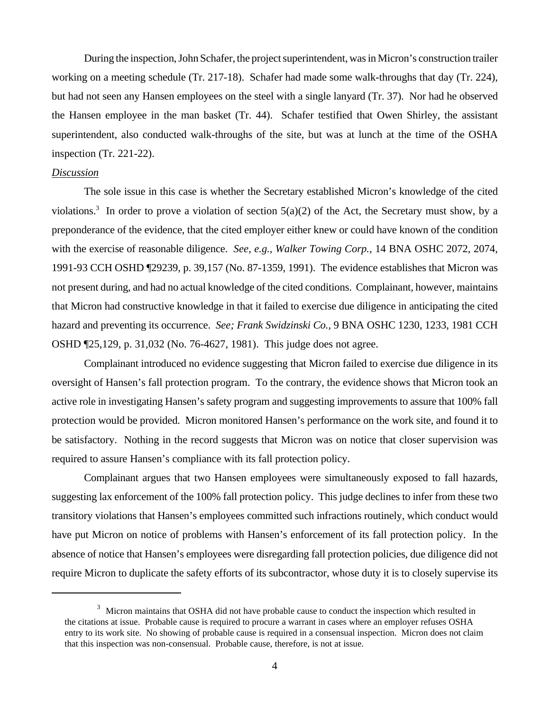During the inspection, John Schafer, the project superintendent, was in Micron's construction trailer working on a meeting schedule (Tr. 217-18). Schafer had made some walk-throughs that day (Tr. 224), but had not seen any Hansen employees on the steel with a single lanyard (Tr. 37). Nor had he observed the Hansen employee in the man basket (Tr. 44). Schafer testified that Owen Shirley, the assistant superintendent, also conducted walk-throughs of the site, but was at lunch at the time of the OSHA inspection (Tr. 221-22).

#### *Discussion*

The sole issue in this case is whether the Secretary established Micron's knowledge of the cited violations.<sup>3</sup> In order to prove a violation of section  $5(a)(2)$  of the Act, the Secretary must show, by a preponderance of the evidence, that the cited employer either knew or could have known of the condition with the exercise of reasonable diligence. *See, e.g., Walker Towing Corp.*, 14 BNA OSHC 2072, 2074, 1991-93 CCH OSHD ¶29239, p. 39,157 (No. 87-1359, 1991). The evidence establishes that Micron was not present during, and had no actual knowledge of the cited conditions. Complainant, however, maintains that Micron had constructive knowledge in that it failed to exercise due diligence in anticipating the cited hazard and preventing its occurrence. *See; Frank Swidzinski Co.,* 9 BNA OSHC 1230, 1233, 1981 CCH OSHD ¶25,129, p. 31,032 (No. 76-4627, 1981). This judge does not agree.

Complainant introduced no evidence suggesting that Micron failed to exercise due diligence in its oversight of Hansen's fall protection program. To the contrary, the evidence shows that Micron took an active role in investigating Hansen's safety program and suggesting improvements to assure that 100% fall protection would be provided. Micron monitored Hansen's performance on the work site, and found it to be satisfactory. Nothing in the record suggests that Micron was on notice that closer supervision was required to assure Hansen's compliance with its fall protection policy.

Complainant argues that two Hansen employees were simultaneously exposed to fall hazards, suggesting lax enforcement of the 100% fall protection policy. This judge declines to infer from these two transitory violations that Hansen's employees committed such infractions routinely, which conduct would have put Micron on notice of problems with Hansen's enforcement of its fall protection policy. In the absence of notice that Hansen's employees were disregarding fall protection policies, due diligence did not require Micron to duplicate the safety efforts of its subcontractor, whose duty it is to closely supervise its

<sup>&</sup>lt;sup>3</sup> Micron maintains that OSHA did not have probable cause to conduct the inspection which resulted in the citations at issue. Probable cause is required to procure a warrant in cases where an employer refuses OSHA entry to its work site. No showing of probable cause is required in a consensual inspection. Micron does not claim that this inspection was non-consensual. Probable cause, therefore, is not at issue.